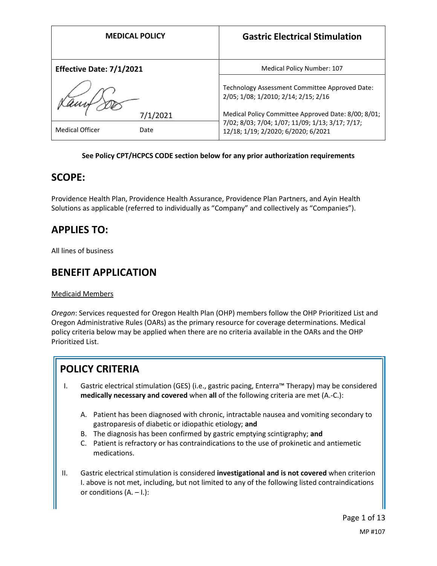|                          | <b>MEDICAL POLICY</b> | <b>Gastric Electrical Stimulation</b>                                                   |
|--------------------------|-----------------------|-----------------------------------------------------------------------------------------|
| Effective Date: 7/1/2021 |                       | <b>Medical Policy Number: 107</b>                                                       |
|                          |                       | Technology Assessment Committee Approved Date:<br>2/05; 1/08; 1/2010; 2/14; 2/15; 2/16  |
|                          | 7/1/2021              | Medical Policy Committee Approved Date: 8/00; 8/01;                                     |
| <b>Medical Officer</b>   | Date                  | 7/02; 8/03; 7/04; 1/07; 11/09; 1/13; 3/17; 7/17;<br>12/18; 1/19; 2/2020; 6/2020; 6/2021 |

### **See Policy CPT/HCPCS CODE section below for any prior authorization requirements**

## **SCOPE:**

Providence Health Plan, Providence Health Assurance, Providence Plan Partners, and Ayin Health Solutions as applicable (referred to individually as "Company" and collectively as "Companies").

# **APPLIES TO:**

All lines of business

# **BENEFIT APPLICATION**

Medicaid Members

*Oregon*: Services requested for Oregon Health Plan (OHP) members follow the OHP Prioritized List and Oregon Administrative Rules (OARs) as the primary resource for coverage determinations. Medical policy criteria below may be applied when there are no criteria available in the OARs and the OHP Prioritized List.

# **POLICY CRITERIA**

- I. Gastric electrical stimulation (GES) (i.e., gastric pacing, Enterra™ Therapy) may be considered **medically necessary and covered** when **all** of the following criteria are met (A.-C.):
	- A. Patient has been diagnosed with chronic, intractable nausea and vomiting secondary to gastroparesis of diabetic or idiopathic etiology; **and**
	- B. The diagnosis has been confirmed by gastric emptying scintigraphy; **and**
	- C. Patient is refractory or has contraindications to the use of prokinetic and antiemetic medications.
- II. Gastric electrical stimulation is considered **investigational and is not covered** when criterion I. above is not met, including, but not limited to any of the following listed contraindications or conditions  $(A. - I.):$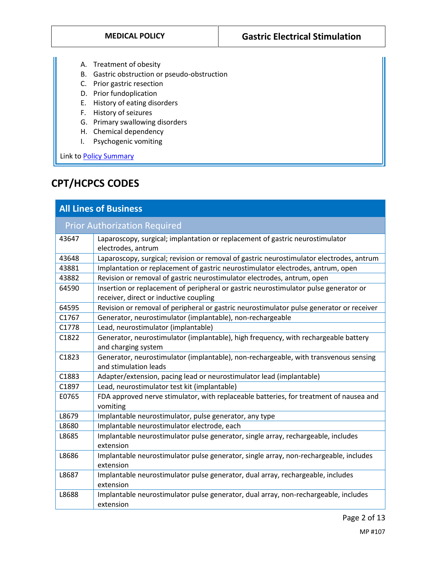- A. Treatment of obesity
- B. Gastric obstruction or pseudo-obstruction
- C. Prior gastric resection
- D. Prior fundoplication
- E. History of eating disorders
- F. History of seizures
- G. Primary swallowing disorders
- H. Chemical dependency
- I. Psychogenic vomiting

Link to **Policy Summary** 

# **CPT/HCPCS CODES**

| <b>All Lines of Business</b>        |                                                                                                                                |  |
|-------------------------------------|--------------------------------------------------------------------------------------------------------------------------------|--|
| <b>Prior Authorization Required</b> |                                                                                                                                |  |
| 43647                               | Laparoscopy, surgical; implantation or replacement of gastric neurostimulator<br>electrodes, antrum                            |  |
| 43648                               | Laparoscopy, surgical; revision or removal of gastric neurostimulator electrodes, antrum                                       |  |
| 43881                               | Implantation or replacement of gastric neurostimulator electrodes, antrum, open                                                |  |
| 43882                               | Revision or removal of gastric neurostimulator electrodes, antrum, open                                                        |  |
| 64590                               | Insertion or replacement of peripheral or gastric neurostimulator pulse generator or<br>receiver, direct or inductive coupling |  |
| 64595                               | Revision or removal of peripheral or gastric neurostimulator pulse generator or receiver                                       |  |
| C1767                               | Generator, neurostimulator (implantable), non-rechargeable                                                                     |  |
| C1778                               | Lead, neurostimulator (implantable)                                                                                            |  |
| C1822                               | Generator, neurostimulator (implantable), high frequency, with rechargeable battery                                            |  |
|                                     | and charging system                                                                                                            |  |
| C1823                               | Generator, neurostimulator (implantable), non-rechargeable, with transvenous sensing                                           |  |
|                                     | and stimulation leads                                                                                                          |  |
| C1883                               | Adapter/extension, pacing lead or neurostimulator lead (implantable)                                                           |  |
| C1897                               | Lead, neurostimulator test kit (implantable)                                                                                   |  |
| E0765                               | FDA approved nerve stimulator, with replaceable batteries, for treatment of nausea and                                         |  |
|                                     | vomiting                                                                                                                       |  |
| L8679                               | Implantable neurostimulator, pulse generator, any type                                                                         |  |
| L8680                               | Implantable neurostimulator electrode, each                                                                                    |  |
| L8685                               | Implantable neurostimulator pulse generator, single array, rechargeable, includes                                              |  |
|                                     | extension                                                                                                                      |  |
| L8686                               | Implantable neurostimulator pulse generator, single array, non-rechargeable, includes                                          |  |
|                                     | extension                                                                                                                      |  |
| L8687                               | Implantable neurostimulator pulse generator, dual array, rechargeable, includes                                                |  |
|                                     | extension                                                                                                                      |  |
| L8688                               | Implantable neurostimulator pulse generator, dual array, non-rechargeable, includes                                            |  |
|                                     | extension                                                                                                                      |  |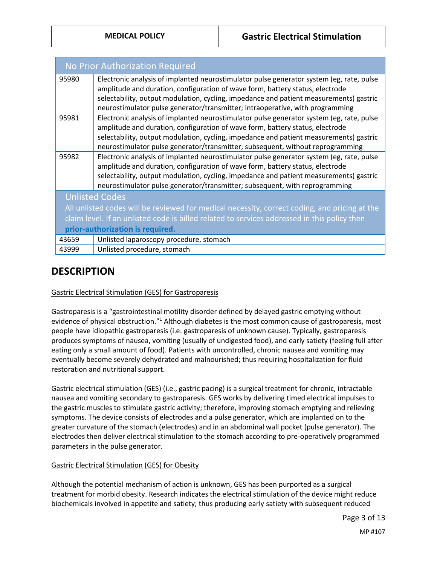| <b>No Prior Authorization Required</b>                                                        |                                                                                                                                                                           |  |
|-----------------------------------------------------------------------------------------------|---------------------------------------------------------------------------------------------------------------------------------------------------------------------------|--|
| 95980                                                                                         | Electronic analysis of implanted neurostimulator pulse generator system (eg, rate, pulse                                                                                  |  |
|                                                                                               | amplitude and duration, configuration of wave form, battery status, electrode                                                                                             |  |
|                                                                                               | selectability, output modulation, cycling, impedance and patient measurements) gastric                                                                                    |  |
|                                                                                               | neurostimulator pulse generator/transmitter; intraoperative, with programming                                                                                             |  |
| 95981                                                                                         | Electronic analysis of implanted neurostimulator pulse generator system (eg, rate, pulse<br>amplitude and duration, configuration of wave form, battery status, electrode |  |
|                                                                                               | selectability, output modulation, cycling, impedance and patient measurements) gastric                                                                                    |  |
|                                                                                               | neurostimulator pulse generator/transmitter; subsequent, without reprogramming                                                                                            |  |
| 95982                                                                                         | Electronic analysis of implanted neurostimulator pulse generator system (eg, rate, pulse                                                                                  |  |
|                                                                                               | amplitude and duration, configuration of wave form, battery status, electrode                                                                                             |  |
|                                                                                               | selectability, output modulation, cycling, impedance and patient measurements) gastric                                                                                    |  |
|                                                                                               | neurostimulator pulse generator/transmitter; subsequent, with reprogramming                                                                                               |  |
| <b>Unlisted Codes</b>                                                                         |                                                                                                                                                                           |  |
| All unlisted codes will be reviewed for medical necessity, correct coding, and pricing at the |                                                                                                                                                                           |  |
| claim level. If an unlisted code is billed related to services addressed in this policy then  |                                                                                                                                                                           |  |
| prior-authorization is required.                                                              |                                                                                                                                                                           |  |
| 43659                                                                                         | Unlisted laparoscopy procedure, stomach                                                                                                                                   |  |
| 43999                                                                                         | Unlisted procedure, stomach                                                                                                                                               |  |
|                                                                                               |                                                                                                                                                                           |  |

## **DESCRIPTION**

Gastric Electrical Stimulation (GES) for Gastroparesis

Gastroparesis is a "gastrointestinal motility disorder defined by delayed gastric emptying without evidence of physical obstruction."<sup>1</sup> Although diabetes is the most common cause of gastroparesis, most people have idiopathic gastroparesis (i.e. gastroparesis of unknown cause). Typically, gastroparesis produces symptoms of nausea, vomiting (usually of undigested food), and early satiety (feeling full after eating only a small amount of food). Patients with uncontrolled, chronic nausea and vomiting may eventually become severely dehydrated and malnourished; thus requiring hospitalization for fluid restoration and nutritional support.

Gastric electrical stimulation (GES) (i.e., gastric pacing) is a surgical treatment for chronic, intractable nausea and vomiting secondary to gastroparesis. GES works by delivering timed electrical impulses to the gastric muscles to stimulate gastric activity; therefore, improving stomach emptying and relieving symptoms. The device consists of electrodes and a pulse generator, which are implanted on to the greater curvature of the stomach (electrodes) and in an abdominal wall pocket (pulse generator). The electrodes then deliver electrical stimulation to the stomach according to pre-operatively programmed parameters in the pulse generator.

### Gastric Electrical Stimulation (GES) for Obesity

Although the potential mechanism of action is unknown, GES has been purported as a surgical treatment for morbid obesity. Research indicates the electrical stimulation of the device might reduce biochemicals involved in appetite and satiety; thus producing early satiety with subsequent reduced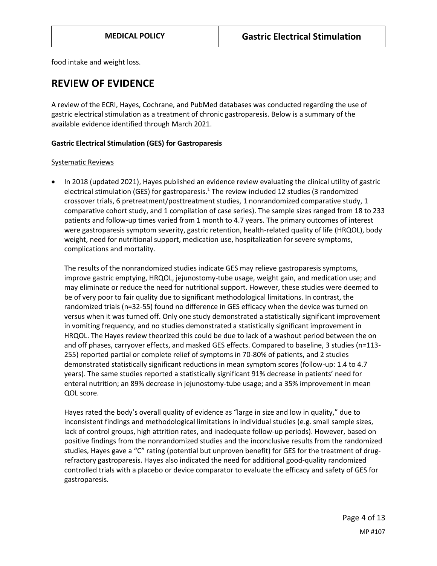food intake and weight loss.

### **REVIEW OF EVIDENCE**

A review of the ECRI, Hayes, Cochrane, and PubMed databases was conducted regarding the use of gastric electrical stimulation as a treatment of chronic gastroparesis. Below is a summary of the available evidence identified through March 2021.

### **Gastric Electrical Stimulation (GES) for Gastroparesis**

#### Systematic Reviews

• In 2018 (updated 2021), Hayes published an evidence review evaluating the clinical utility of gastric electrical stimulation (GES) for gastroparesis.<sup>1</sup> The review included 12 studies (3 randomized crossover trials, 6 pretreatment/posttreatment studies, 1 nonrandomized comparative study, 1 comparative cohort study, and 1 compilation of case series). The sample sizes ranged from 18 to 233 patients and follow-up times varied from 1 month to 4.7 years. The primary outcomes of interest were gastroparesis symptom severity, gastric retention, health-related quality of life (HRQOL), body weight, need for nutritional support, medication use, hospitalization for severe symptoms, complications and mortality.

The results of the nonrandomized studies indicate GES may relieve gastroparesis symptoms, improve gastric emptying, HRQOL, jejunostomy-tube usage, weight gain, and medication use; and may eliminate or reduce the need for nutritional support. However, these studies were deemed to be of very poor to fair quality due to significant methodological limitations. In contrast, the randomized trials (n=32-55) found no difference in GES efficacy when the device was turned on versus when it was turned off. Only one study demonstrated a statistically significant improvement in vomiting frequency, and no studies demonstrated a statistically significant improvement in HRQOL. The Hayes review theorized this could be due to lack of a washout period between the on and off phases, carryover effects, and masked GES effects. Compared to baseline, 3 studies (n=113- 255) reported partial or complete relief of symptoms in 70-80% of patients, and 2 studies demonstrated statistically significant reductions in mean symptom scores (follow-up: 1.4 to 4.7 years). The same studies reported a statistically significant 91% decrease in patients' need for enteral nutrition; an 89% decrease in jejunostomy-tube usage; and a 35% improvement in mean QOL score.

Hayes rated the body's overall quality of evidence as "large in size and low in quality," due to inconsistent findings and methodological limitations in individual studies (e.g. small sample sizes, lack of control groups, high attrition rates, and inadequate follow-up periods). However, based on positive findings from the nonrandomized studies and the inconclusive results from the randomized studies, Hayes gave a "C" rating (potential but unproven benefit) for GES for the treatment of drugrefractory gastroparesis. Hayes also indicated the need for additional good-quality randomized controlled trials with a placebo or device comparator to evaluate the efficacy and safety of GES for gastroparesis.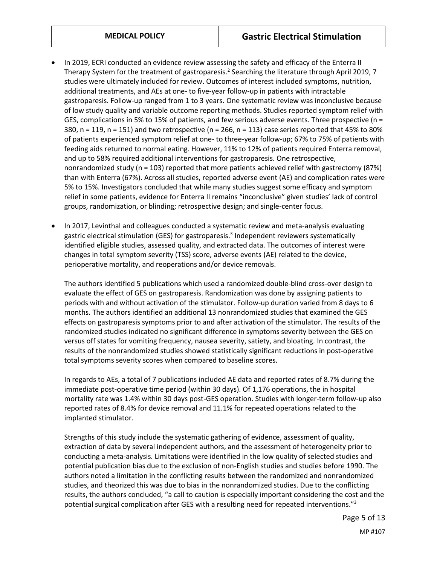- In 2019, ECRI conducted an evidence review assessing the safety and efficacy of the Enterra II Therapy System for the treatment of gastroparesis.<sup>2</sup> Searching the literature through April 2019, 7 studies were ultimately included for review. Outcomes of interest included symptoms, nutrition, additional treatments, and AEs at one- to five-year follow-up in patients with intractable gastroparesis. Follow-up ranged from 1 to 3 years. One systematic review was inconclusive because of low study quality and variable outcome reporting methods. Studies reported symptom relief with GES, complications in 5% to 15% of patients, and few serious adverse events. Three prospective (n = 380,  $n = 119$ ,  $n = 151$ ) and two retrospective ( $n = 266$ ,  $n = 113$ ) case series reported that 45% to 80% of patients experienced symptom relief at one- to three-year follow-up; 67% to 75% of patients with feeding aids returned to normal eating. However, 11% to 12% of patients required Enterra removal, and up to 58% required additional interventions for gastroparesis. One retrospective, nonrandomized study (n = 103) reported that more patients achieved relief with gastrectomy (87%) than with Enterra (67%). Across all studies, reported adverse event (AE) and complication rates were 5% to 15%. Investigators concluded that while many studies suggest some efficacy and symptom relief in some patients, evidence for Enterra II remains "inconclusive" given studies' lack of control groups, randomization, or blinding; retrospective design; and single-center focus.
- In 2017, Levinthal and colleagues conducted a systematic review and meta-analysis evaluating gastric electrical stimulation (GES) for gastroparesis.<sup>3</sup> Independent reviewers systematically identified eligible studies, assessed quality, and extracted data. The outcomes of interest were changes in total symptom severity (TSS) score, adverse events (AE) related to the device, perioperative mortality, and reoperations and/or device removals.

The authors identified 5 publications which used a randomized double-blind cross-over design to evaluate the effect of GES on gastroparesis. Randomization was done by assigning patients to periods with and without activation of the stimulator. Follow-up duration varied from 8 days to 6 months. The authors identified an additional 13 nonrandomized studies that examined the GES effects on gastroparesis symptoms prior to and after activation of the stimulator. The results of the randomized studies indicated no significant difference in symptoms severity between the GES on versus off states for vomiting frequency, nausea severity, satiety, and bloating. In contrast, the results of the nonrandomized studies showed statistically significant reductions in post-operative total symptoms severity scores when compared to baseline scores.

In regards to AEs, a total of 7 publications included AE data and reported rates of 8.7% during the immediate post-operative time period (within 30 days). Of 1,176 operations, the in hospital mortality rate was 1.4% within 30 days post-GES operation. Studies with longer-term follow-up also reported rates of 8.4% for device removal and 11.1% for repeated operations related to the implanted stimulator.

Strengths of this study include the systematic gathering of evidence, assessment of quality, extraction of data by several independent authors, and the assessment of heterogeneity prior to conducting a meta-analysis. Limitations were identified in the low quality of selected studies and potential publication bias due to the exclusion of non-English studies and studies before 1990. The authors noted a limitation in the conflicting results between the randomized and nonrandomized studies, and theorized this was due to bias in the nonrandomized studies. Due to the conflicting results, the authors concluded, "a call to caution is especially important considering the cost and the potential surgical complication after GES with a resulting need for repeated interventions."<sup>3</sup>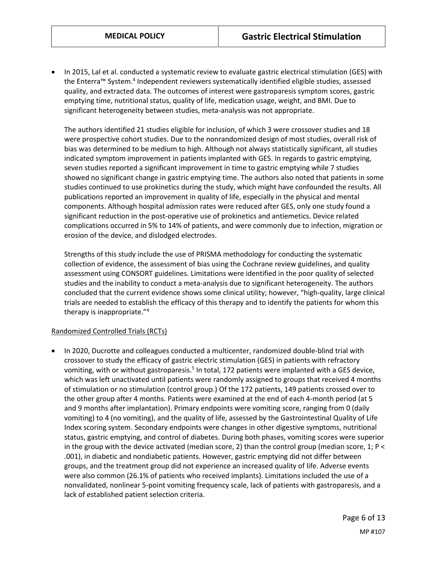In 2015, Lal et al. conducted a systematic review to evaluate gastric electrical stimulation (GES) with the Enterra™ System.<sup>4</sup> Independent reviewers systematically identified eligible studies, assessed quality, and extracted data. The outcomes of interest were gastroparesis symptom scores, gastric emptying time, nutritional status, quality of life, medication usage, weight, and BMI. Due to significant heterogeneity between studies, meta-analysis was not appropriate.

The authors identified 21 studies eligible for inclusion, of which 3 were crossover studies and 18 were prospective cohort studies. Due to the nonrandomized design of most studies, overall risk of bias was determined to be medium to high. Although not always statistically significant, all studies indicated symptom improvement in patients implanted with GES. In regards to gastric emptying, seven studies reported a significant improvement in time to gastric emptying while 7 studies showed no significant change in gastric emptying time. The authors also noted that patients in some studies continued to use prokinetics during the study, which might have confounded the results. All publications reported an improvement in quality of life, especially in the physical and mental components. Although hospital admission rates were reduced after GES, only one study found a significant reduction in the post-operative use of prokinetics and antiemetics. Device related complications occurred in 5% to 14% of patients, and were commonly due to infection, migration or erosion of the device, and dislodged electrodes.

Strengths of this study include the use of PRISMA methodology for conducting the systematic collection of evidence, the assessment of bias using the Cochrane review guidelines, and quality assessment using CONSORT guidelines. Limitations were identified in the poor quality of selected studies and the inability to conduct a meta-analysis due to significant heterogeneity. The authors concluded that the current evidence shows some clinical utility; however, "high-quality, large clinical trials are needed to establish the efficacy of this therapy and to identify the patients for whom this therapy is inappropriate."<sup>4</sup>

#### Randomized Controlled Trials (RCTs)

 In 2020, Ducrotte and colleagues conducted a multicenter, randomized double-blind trial with crossover to study the efficacy of gastric electric stimulation (GES) in patients with refractory vomiting, with or without gastroparesis.<sup>5</sup> In total, 172 patients were implanted with a GES device, which was left unactivated until patients were randomly assigned to groups that received 4 months of stimulation or no stimulation (control group.) Of the 172 patients, 149 patients crossed over to the other group after 4 months. Patients were examined at the end of each 4-month period (at 5 and 9 months after implantation). Primary endpoints were vomiting score, ranging from 0 (daily vomiting) to 4 (no vomiting), and the quality of life, assessed by the Gastrointestinal Quality of Life Index scoring system. Secondary endpoints were changes in other digestive symptoms, nutritional status, gastric emptying, and control of diabetes. During both phases, vomiting scores were superior in the group with the device activated (median score, 2) than the control group (median score, 1; P < .001), in diabetic and nondiabetic patients. However, gastric emptying did not differ between groups, and the treatment group did not experience an increased quality of life. Adverse events were also common (26.1% of patients who received implants). Limitations included the use of a nonvalidated, nonlinear 5-point vomiting frequency scale, lack of patients with gastroparesis, and a lack of established patient selection criteria.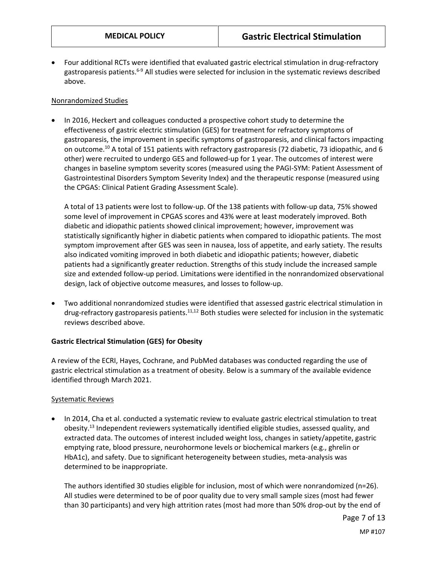Four additional RCTs were identified that evaluated gastric electrical stimulation in drug-refractory gastroparesis patients.<sup>6-9</sup> All studies were selected for inclusion in the systematic reviews described above.

### Nonrandomized Studies

 In 2016, Heckert and colleagues conducted a prospective cohort study to determine the effectiveness of gastric electric stimulation (GES) for treatment for refractory symptoms of gastroparesis, the improvement in specific symptoms of gastroparesis, and clinical factors impacting on outcome.<sup>10</sup> A total of 151 patients with refractory gastroparesis (72 diabetic, 73 idiopathic, and 6 other) were recruited to undergo GES and followed-up for 1 year. The outcomes of interest were changes in baseline symptom severity scores (measured using the PAGI-SYM: Patient Assessment of Gastrointestinal Disorders Symptom Severity Index) and the therapeutic response (measured using the CPGAS: Clinical Patient Grading Assessment Scale).

A total of 13 patients were lost to follow-up. Of the 138 patients with follow-up data, 75% showed some level of improvement in CPGAS scores and 43% were at least moderately improved. Both diabetic and idiopathic patients showed clinical improvement; however, improvement was statistically significantly higher in diabetic patients when compared to idiopathic patients. The most symptom improvement after GES was seen in nausea, loss of appetite, and early satiety. The results also indicated vomiting improved in both diabetic and idiopathic patients; however, diabetic patients had a significantly greater reduction. Strengths of this study include the increased sample size and extended follow-up period. Limitations were identified in the nonrandomized observational design, lack of objective outcome measures, and losses to follow-up.

 Two additional nonrandomized studies were identified that assessed gastric electrical stimulation in drug-refractory gastroparesis patients.<sup>11,12</sup> Both studies were selected for inclusion in the systematic reviews described above.

### **Gastric Electrical Stimulation (GES) for Obesity**

A review of the ECRI, Hayes, Cochrane, and PubMed databases was conducted regarding the use of gastric electrical stimulation as a treatment of obesity. Below is a summary of the available evidence identified through March 2021.

### Systematic Reviews

• In 2014, Cha et al. conducted a systematic review to evaluate gastric electrical stimulation to treat obesity.<sup>13</sup> Independent reviewers systematically identified eligible studies, assessed quality, and extracted data. The outcomes of interest included weight loss, changes in satiety/appetite, gastric emptying rate, blood pressure, neurohormone levels or biochemical markers (e.g., ghrelin or HbA1c), and safety. Due to significant heterogeneity between studies, meta-analysis was determined to be inappropriate.

The authors identified 30 studies eligible for inclusion, most of which were nonrandomized (n=26). All studies were determined to be of poor quality due to very small sample sizes (most had fewer than 30 participants) and very high attrition rates (most had more than 50% drop-out by the end of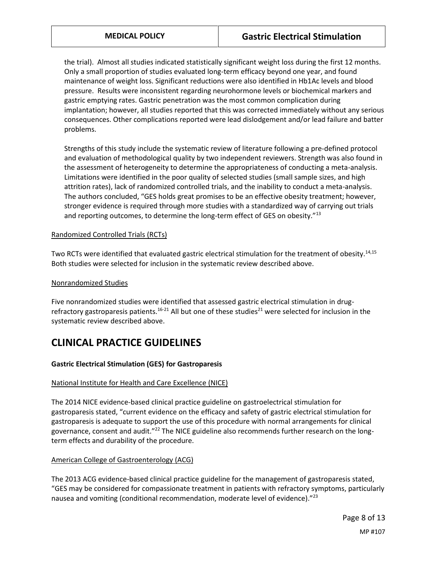the trial). Almost all studies indicated statistically significant weight loss during the first 12 months. Only a small proportion of studies evaluated long-term efficacy beyond one year, and found maintenance of weight loss. Significant reductions were also identified in Hb1Ac levels and blood pressure. Results were inconsistent regarding neurohormone levels or biochemical markers and gastric emptying rates. Gastric penetration was the most common complication during implantation; however, all studies reported that this was corrected immediately without any serious consequences. Other complications reported were lead dislodgement and/or lead failure and batter problems.

Strengths of this study include the systematic review of literature following a pre-defined protocol and evaluation of methodological quality by two independent reviewers. Strength was also found in the assessment of heterogeneity to determine the appropriateness of conducting a meta-analysis. Limitations were identified in the poor quality of selected studies (small sample sizes, and high attrition rates), lack of randomized controlled trials, and the inability to conduct a meta-analysis. The authors concluded, "GES holds great promises to be an effective obesity treatment; however, stronger evidence is required through more studies with a standardized way of carrying out trials and reporting outcomes, to determine the long-term effect of GES on obesity."<sup>13</sup>

### Randomized Controlled Trials (RCTs)

Two RCTs were identified that evaluated gastric electrical stimulation for the treatment of obesity.<sup>14,15</sup> Both studies were selected for inclusion in the systematic review described above.

#### Nonrandomized Studies

Five nonrandomized studies were identified that assessed gastric electrical stimulation in drugrefractory gastroparesis patients.<sup>16-21</sup> All but one of these studies<sup>21</sup> were selected for inclusion in the systematic review described above.

## **CLINICAL PRACTICE GUIDELINES**

### **Gastric Electrical Stimulation (GES) for Gastroparesis**

#### National Institute for Health and Care Excellence (NICE)

The 2014 NICE evidence-based clinical practice guideline on gastroelectrical stimulation for gastroparesis stated, "current evidence on the efficacy and safety of gastric electrical stimulation for gastroparesis is adequate to support the use of this procedure with normal arrangements for clinical governance, consent and audit."<sup>22</sup> The NICE guideline also recommends further research on the longterm effects and durability of the procedure.

### American College of Gastroenterology (ACG)

The 2013 ACG evidence-based clinical practice guideline for the management of gastroparesis stated, "GES may be considered for compassionate treatment in patients with refractory symptoms, particularly nausea and vomiting (conditional recommendation, moderate level of evidence)." $^{23}$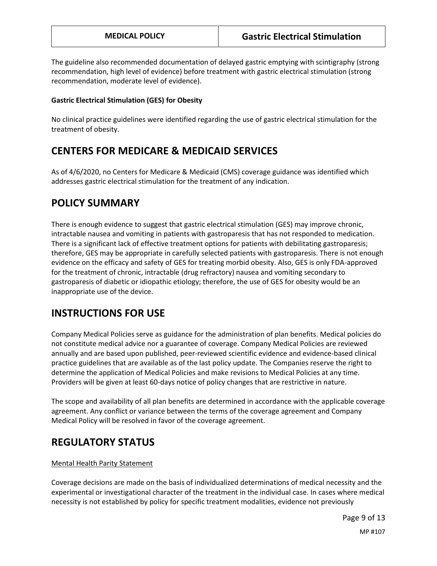The guideline also recommended documentation of delayed gastric emptying with scintigraphy (strong recommendation, high level of evidence) before treatment with gastric electrical stimulation (strong recommendation, moderate level of evidence).

### **Gastric Electrical Stimulation (GES) for Obesity**

No clinical practice guidelines were identified regarding the use of gastric electrical stimulation for the treatment of obesity.

# <span id="page-8-0"></span>**CENTERS FOR MEDICARE & MEDICAID SERVICES**

As of 4/6/2020, no Centers for Medicare & Medicaid (CMS) coverage guidance was identified which addresses gastric electrical stimulation for the treatment of any indication.

## **POLICY SUMMARY**

There is enough evidence to suggest that gastric electrical stimulation (GES) may improve chronic, intractable nausea and vomiting in patients with gastroparesis that has not responded to medication. There is a significant lack of effective treatment options for patients with debilitating gastroparesis; therefore, GES may be appropriate in carefully selected patients with gastroparesis. There is not enough evidence on the efficacy and safety of GES for treating morbid obesity. Also, GES is only FDA-approved for the treatment of chronic, intractable (drug refractory) nausea and vomiting secondary to gastroparesis of diabetic or idiopathic etiology; therefore, the use of GES for obesity would be an inappropriate use of the device.

## **INSTRUCTIONS FOR USE**

Company Medical Policies serve as guidance for the administration of plan benefits. Medical policies do not constitute medical advice nor a guarantee of coverage. Company Medical Policies are reviewed annually and are based upon published, peer-reviewed scientific evidence and evidence-based clinical practice guidelines that are available as of the last policy update. The Companies reserve the right to determine the application of Medical Policies and make revisions to Medical Policies at any time. Providers will be given at least 60-days notice of policy changes that are restrictive in nature.

The scope and availability of all plan benefits are determined in accordance with the applicable coverage agreement. Any conflict or variance between the terms of the coverage agreement and Company Medical Policy will be resolved in favor of the coverage agreement.

## **REGULATORY STATUS**

### Mental Health Parity Statement

Coverage decisions are made on the basis of individualized determinations of medical necessity and the experimental or investigational character of the treatment in the individual case. In cases where medical necessity is not established by policy for specific treatment modalities, evidence not previously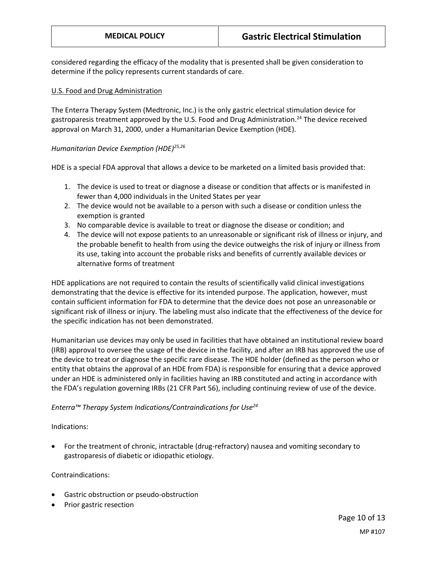considered regarding the efficacy of the modality that is presented shall be given consideration to determine if the policy represents current standards of care.

#### U.S. Food and Drug Administration

The Enterra Therapy System (Medtronic, Inc.) is the only gastric electrical stimulation device for gastroparesis treatment approved by the U.S. Food and Drug Administration.<sup>24</sup> The device received approval on March 31, 2000, under a Humanitarian Device Exemption (HDE).

### *Humanitarian Device Exemption (HDE) 25,26*

HDE is a special FDA approval that allows a device to be marketed on a limited basis provided that:

- 1. The device is used to treat or diagnose a disease or condition that affects or is manifested in fewer than 4,000 individuals in the United States per year
- 2. The device would not be available to a person with such a disease or condition unless the exemption is granted
- 3. No comparable device is available to treat or diagnose the disease or condition; and
- 4. The device will not expose patients to an unreasonable or significant risk of illness or injury, and the probable benefit to health from using the device outweighs the risk of injury or illness from its use, taking into account the probable risks and benefits of currently available devices or alternative forms of treatment

HDE applications are not required to contain the results of scientifically valid clinical investigations demonstrating that the device is effective for its intended purpose. The application, however, must contain sufficient information for FDA to determine that the device does not pose an unreasonable or significant risk of illness or injury. The labeling must also indicate that the effectiveness of the device for the specific indication has not been demonstrated.

Humanitarian use devices may only be used in facilities that have obtained an institutional review board (IRB) approval to oversee the usage of the device in the facility, and after an IRB has approved the use of the device to treat or diagnose the specific rare disease. The HDE holder (defined as the person who or entity that obtains the approval of an HDE from FDA) is responsible for ensuring that a device approved under an HDE is administered only in facilities having an IRB constituted and acting in accordance with the FDA's regulation governing IRBs (21 CFR Part 56), including continuing review of use of the device.

### *Enterra™ Therapy System Indications/Contraindications for Use<sup>24</sup>*

Indications:

 For the treatment of chronic, intractable (drug-refractory) nausea and vomiting secondary to gastroparesis of diabetic or idiopathic etiology.

Contraindications:

- Gastric obstruction or pseudo-obstruction
- Prior gastric resection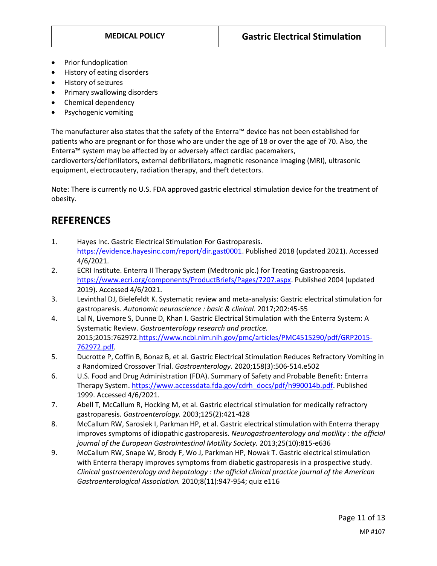- Prior fundoplication
- History of eating disorders
- History of seizures
- Primary swallowing disorders
- Chemical dependency
- Psychogenic vomiting

The manufacturer also states that the safety of the Enterra™ device has not been established for patients who are pregnant or for those who are under the age of 18 or over the age of 70. Also, the Enterra™ system may be affected by or adversely affect cardiac pacemakers,

cardioverters/defibrillators, external defibrillators, magnetic resonance imaging (MRI), ultrasonic equipment, electrocautery, radiation therapy, and theft detectors.

Note: There is currently no U.S. FDA approved gastric electrical stimulation device for the treatment of obesity.

## **REFERENCES27-30**

- 1. Hayes Inc. Gastric Electrical Stimulation For Gastroparesis. [https://evidence.hayesinc.com/report/dir.gast0001.](https://evidence.hayesinc.com/report/dir.gast0001) Published 2018 (updated 2021). Accessed 4/6/2021.
- 2. ECRI Institute. Enterra II Therapy System (Medtronic plc.) for Treating Gastroparesis. [https://www.ecri.org/components/ProductBriefs/Pages/7207.aspx.](https://www.ecri.org/components/ProductBriefs/Pages/7207.aspx) Published 2004 (updated 2019). Accessed 4/6/2021.
- 3. Levinthal DJ, Bielefeldt K. Systematic review and meta-analysis: Gastric electrical stimulation for gastroparesis. *Autonomic neuroscience : basic & clinical.* 2017;202:45-55
- 4. Lal N, Livemore S, Dunne D, Khan I. Gastric Electrical Stimulation with the Enterra System: A Systematic Review. *Gastroenterology research and practice.*  2015;2015:76297[2.https://www.ncbi.nlm.nih.gov/pmc/articles/PMC4515290/pdf/GRP2015-](https://www.ncbi.nlm.nih.gov/pmc/articles/PMC4515290/pdf/GRP2015-762972.pdf) [762972.pdf.](https://www.ncbi.nlm.nih.gov/pmc/articles/PMC4515290/pdf/GRP2015-762972.pdf)
- 5. Ducrotte P, Coffin B, Bonaz B, et al. Gastric Electrical Stimulation Reduces Refractory Vomiting in a Randomized Crossover Trial. *Gastroenterology.* 2020;158(3):506-514.e502
- 6. U.S. Food and Drug Administration (FDA). Summary of Safety and Probable Benefit: Enterra Therapy System[. https://www.accessdata.fda.gov/cdrh\\_docs/pdf/h990014b.pdf.](https://www.accessdata.fda.gov/cdrh_docs/pdf/h990014b.pdf) Published 1999. Accessed 4/6/2021.
- 7. Abell T, McCallum R, Hocking M, et al. Gastric electrical stimulation for medically refractory gastroparesis. *Gastroenterology.* 2003;125(2):421-428
- 8. McCallum RW, Sarosiek I, Parkman HP, et al. Gastric electrical stimulation with Enterra therapy improves symptoms of idiopathic gastroparesis. *Neurogastroenterology and motility : the official journal of the European Gastrointestinal Motility Society.* 2013;25(10):815-e636
- 9. McCallum RW, Snape W, Brody F, Wo J, Parkman HP, Nowak T. Gastric electrical stimulation with Enterra therapy improves symptoms from diabetic gastroparesis in a prospective study. *Clinical gastroenterology and hepatology : the official clinical practice journal of the American Gastroenterological Association.* 2010;8(11):947-954; quiz e116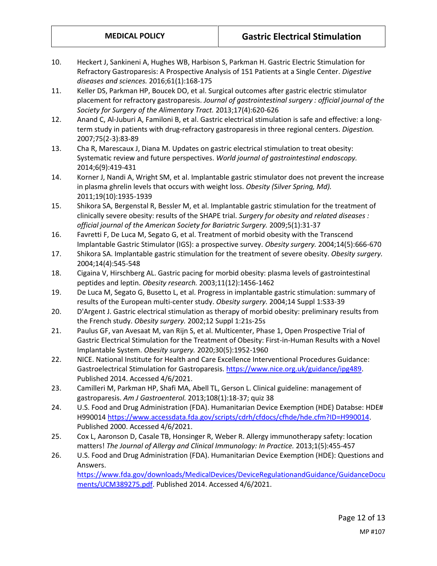- 10. Heckert J, Sankineni A, Hughes WB, Harbison S, Parkman H. Gastric Electric Stimulation for Refractory Gastroparesis: A Prospective Analysis of 151 Patients at a Single Center. *Digestive diseases and sciences.* 2016;61(1):168-175
- 11. Keller DS, Parkman HP, Boucek DO, et al. Surgical outcomes after gastric electric stimulator placement for refractory gastroparesis. *Journal of gastrointestinal surgery : official journal of the Society for Surgery of the Alimentary Tract.* 2013;17(4):620-626
- 12. Anand C, Al-Juburi A, Familoni B, et al. Gastric electrical stimulation is safe and effective: a longterm study in patients with drug-refractory gastroparesis in three regional centers. *Digestion.*  2007;75(2-3):83-89
- 13. Cha R, Marescaux J, Diana M. Updates on gastric electrical stimulation to treat obesity: Systematic review and future perspectives. *World journal of gastrointestinal endoscopy.*  2014;6(9):419-431
- 14. Korner J, Nandi A, Wright SM, et al. Implantable gastric stimulator does not prevent the increase in plasma ghrelin levels that occurs with weight loss. *Obesity (Silver Spring, Md).*  2011;19(10):1935-1939
- 15. Shikora SA, Bergenstal R, Bessler M, et al. Implantable gastric stimulation for the treatment of clinically severe obesity: results of the SHAPE trial. *Surgery for obesity and related diseases : official journal of the American Society for Bariatric Surgery.* 2009;5(1):31-37
- 16. Favretti F, De Luca M, Segato G, et al. Treatment of morbid obesity with the Transcend Implantable Gastric Stimulator (IGS): a prospective survey. *Obesity surgery.* 2004;14(5):666-670
- 17. Shikora SA. Implantable gastric stimulation for the treatment of severe obesity. *Obesity surgery.*  2004;14(4):545-548
- 18. Cigaina V, Hirschberg AL. Gastric pacing for morbid obesity: plasma levels of gastrointestinal peptides and leptin. *Obesity research.* 2003;11(12):1456-1462
- 19. De Luca M, Segato G, Busetto L, et al. Progress in implantable gastric stimulation: summary of results of the European multi-center study. *Obesity surgery.* 2004;14 Suppl 1:S33-39
- 20. D'Argent J. Gastric electrical stimulation as therapy of morbid obesity: preliminary results from the French study. *Obesity surgery.* 2002;12 Suppl 1:21s-25s
- 21. Paulus GF, van Avesaat M, van Rijn S, et al. Multicenter, Phase 1, Open Prospective Trial of Gastric Electrical Stimulation for the Treatment of Obesity: First-in-Human Results with a Novel Implantable System. *Obesity surgery.* 2020;30(5):1952-1960
- 22. NICE. National Institute for Health and Care Excellence Interventional Procedures Guidance: Gastroelectrical Stimulation for Gastroparesis. [https://www.nice.org.uk/guidance/ipg489.](https://www.nice.org.uk/guidance/ipg489) Published 2014. Accessed 4/6/2021.
- 23. Camilleri M, Parkman HP, Shafi MA, Abell TL, Gerson L. Clinical guideline: management of gastroparesis. *Am J Gastroenterol.* 2013;108(1):18-37; quiz 38
- 24. U.S. Food and Drug Administration (FDA). Humanitarian Device Exemption (HDE) Databse: HDE# H990014 [https://www.accessdata.fda.gov/scripts/cdrh/cfdocs/cfhde/hde.cfm?ID=H990014.](https://www.accessdata.fda.gov/scripts/cdrh/cfdocs/cfhde/hde.cfm?ID=H990014) Published 2000. Accessed 4/6/2021.
- 25. Cox L, Aaronson D, Casale TB, Honsinger R, Weber R. Allergy immunotherapy safety: location matters! *The Journal of Allergy and Clinical Immunology: In Practice.* 2013;1(5):455-457
- 26. U.S. Food and Drug Administration (FDA). Humanitarian Device Exemption (HDE): Questions and Answers. [https://www.fda.gov/downloads/MedicalDevices/DeviceRegulationandGuidance/GuidanceDocu](https://www.fda.gov/downloads/MedicalDevices/DeviceRegulationandGuidance/GuidanceDocuments/UCM389275.pdf) [ments/UCM389275.pdf.](https://www.fda.gov/downloads/MedicalDevices/DeviceRegulationandGuidance/GuidanceDocuments/UCM389275.pdf) Published 2014. Accessed 4/6/2021.